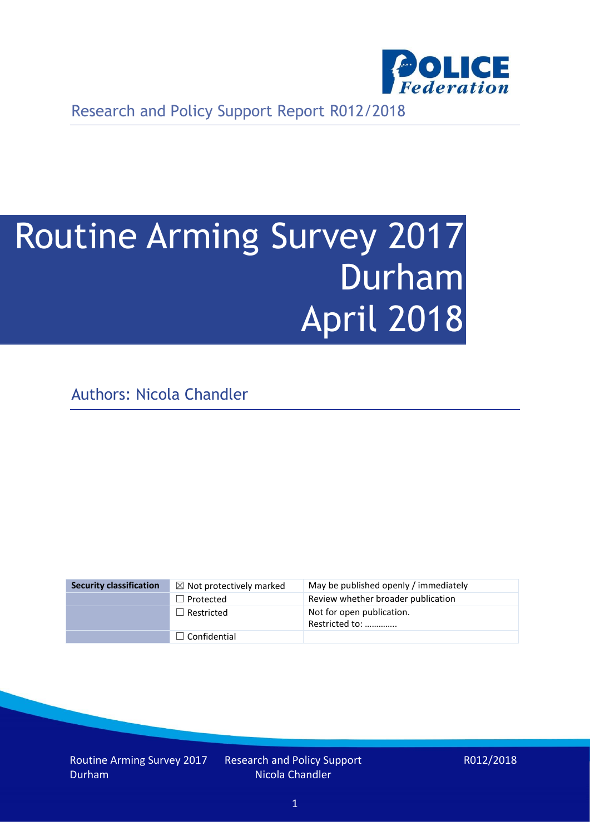

Research and Policy Support Report R012/2018

# Routine Arming Survey 2017 Durham April 2018

Authors: Nicola Chandler

| <b>Security classification</b> | $\boxtimes$ Not protectively marked | May be published openly / immediately       |
|--------------------------------|-------------------------------------|---------------------------------------------|
|                                | $\Box$ Protected                    | Review whether broader publication          |
|                                | $\Box$ Restricted                   | Not for open publication.<br>Restricted to: |
|                                | $\Box$ Confidential                 |                                             |

Routine Arming Survey 2017 Durham

Research and Policy Support Nicola Chandler

R012/2018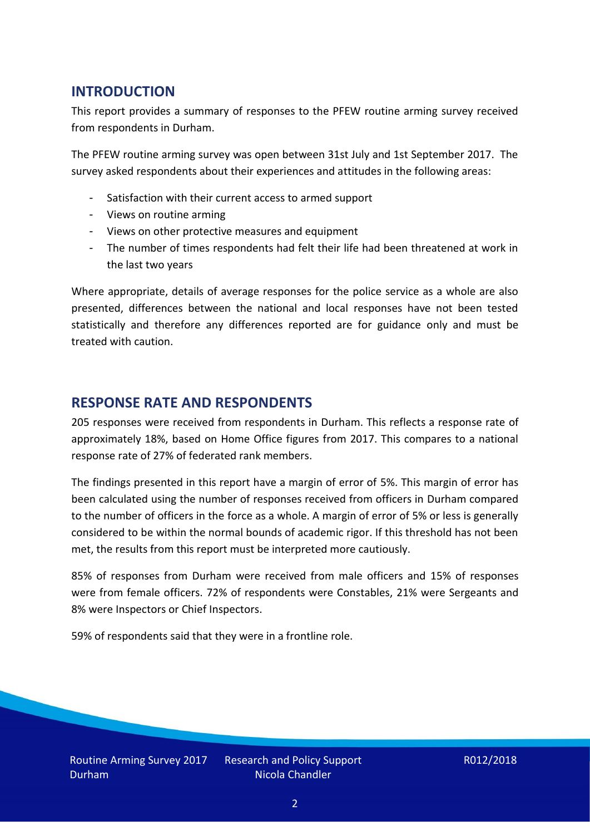## **INTRODUCTION**

This report provides a summary of responses to the PFEW routine arming survey received from respondents in Durham.

The PFEW routine arming survey was open between 31st July and 1st September 2017. The survey asked respondents about their experiences and attitudes in the following areas:

- Satisfaction with their current access to armed support
- Views on routine arming
- Views on other protective measures and equipment
- The number of times respondents had felt their life had been threatened at work in the last two years

Where appropriate, details of average responses for the police service as a whole are also presented, differences between the national and local responses have not been tested statistically and therefore any differences reported are for guidance only and must be treated with caution.

#### **RESPONSE RATE AND RESPONDENTS**

205 responses were received from respondents in Durham. This reflects a response rate of approximately 18%, based on Home Office figures from 2017. This compares to a national response rate of 27% of federated rank members.

The findings presented in this report have a margin of error of 5%. This margin of error has been calculated using the number of responses received from officers in Durham compared to the number of officers in the force as a whole. A margin of error of 5% or less is generally considered to be within the normal bounds of academic rigor. If this threshold has not been met, the results from this report must be interpreted more cautiously.

85% of responses from Durham were received from male officers and 15% of responses were from female officers. 72% of respondents were Constables, 21% were Sergeants and 8% were Inspectors or Chief Inspectors.

59% of respondents said that they were in a frontline role.

Research and Policy Support Nicola Chandler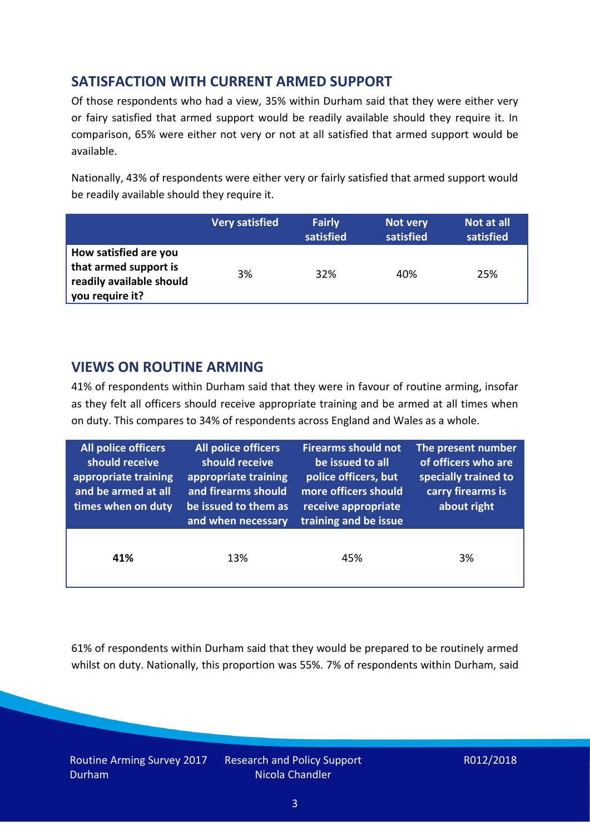## **SATISFACTION WITH CURRENT ARMED SUPPORT**

Of those respondents who had a view, 35% within Durham said that they were either very or fairy satisfied that armed support would be readily available should they require it. In comparison, 65% were either not very or not at all satisfied that armed support would be available.

Nationally, 43% of respondents were either very or fairly satisfied that armed support would be readily available should they require it.

|                                                                                               | <b>Very satisfied</b> | <b>Fairly</b><br>satisfied | Not very<br>satisfied | Not at all<br>satisfied |
|-----------------------------------------------------------------------------------------------|-----------------------|----------------------------|-----------------------|-------------------------|
| How satisfied are you<br>that armed support is<br>readily available should<br>you require it? | 3%                    | 32%                        | 40%                   | 25%                     |

## **VIEWS ON ROUTINE ARMING**

41% of respondents within Durham said that they were in favour of routine arming, insofar as they felt all officers should receive appropriate training and be armed at all times when on duty. This compares to 34% of respondents across England and Wales as a whole.

| All police officers<br>should receive<br>appropriate training<br>and be armed at all<br>times when on duty | All police officers<br>should receive<br>appropriate training<br>and firearms should<br>be issued to them as<br>and when necessary | <b>Firearms should not</b><br>be issued to all<br>police officers, but<br>more officers should<br>receive appropriate<br>training and be issue | The present number<br>of officers who are<br>specially trained to<br>carry firearms is<br>about right |  |
|------------------------------------------------------------------------------------------------------------|------------------------------------------------------------------------------------------------------------------------------------|------------------------------------------------------------------------------------------------------------------------------------------------|-------------------------------------------------------------------------------------------------------|--|
| 41%                                                                                                        | 13%                                                                                                                                | 45%                                                                                                                                            | 3%                                                                                                    |  |

61% of respondents within Durham said that they would be prepared to be routinely armed whilst on duty. Nationally, this proportion was 55%. 7% of respondents within Durham, said

Routine Arming Survey 2017 Durham

Research and Policy Support Nicola Chandler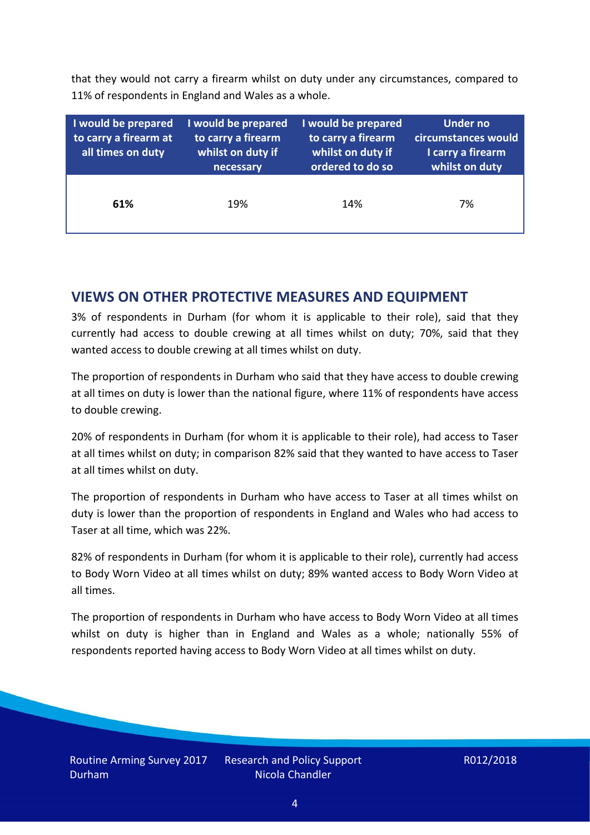that they would not carry a firearm whilst on duty under any circumstances, compared to 11% of respondents in England and Wales as a whole.

| I would be prepared<br>to carry a firearm at<br>all times on duty | I would be prepared<br>to carry a firearm<br>whilst on duty if<br>necessary | I would be prepared<br>to carry a firearm<br>whilst on duty if<br>ordered to do so | <b>Under no</b><br>circumstances would<br>I carry a firearm<br>whilst on duty |
|-------------------------------------------------------------------|-----------------------------------------------------------------------------|------------------------------------------------------------------------------------|-------------------------------------------------------------------------------|
| 61%                                                               | 19%                                                                         | 14%                                                                                | 7%                                                                            |

### **VIEWS ON OTHER PROTECTIVE MEASURES AND EQUIPMENT**

3% of respondents in Durham (for whom it is applicable to their role), said that they currently had access to double crewing at all times whilst on duty; 70%, said that they wanted access to double crewing at all times whilst on duty.

The proportion of respondents in Durham who said that they have access to double crewing at all times on duty is lower than the national figure, where 11% of respondents have access to double crewing.

20% of respondents in Durham (for whom it is applicable to their role), had access to Taser at all times whilst on duty; in comparison 82% said that they wanted to have access to Taser at all times whilst on duty.

The proportion of respondents in Durham who have access to Taser at all times whilst on duty is lower than the proportion of respondents in England and Wales who had access to Taser at all time, which was 22%.

82% of respondents in Durham (for whom it is applicable to their role), currently had access to Body Worn Video at all times whilst on duty; 89% wanted access to Body Worn Video at all times.

The proportion of respondents in Durham who have access to Body Worn Video at all times whilst on duty is higher than in England and Wales as a whole; nationally 55% of respondents reported having access to Body Worn Video at all times whilst on duty.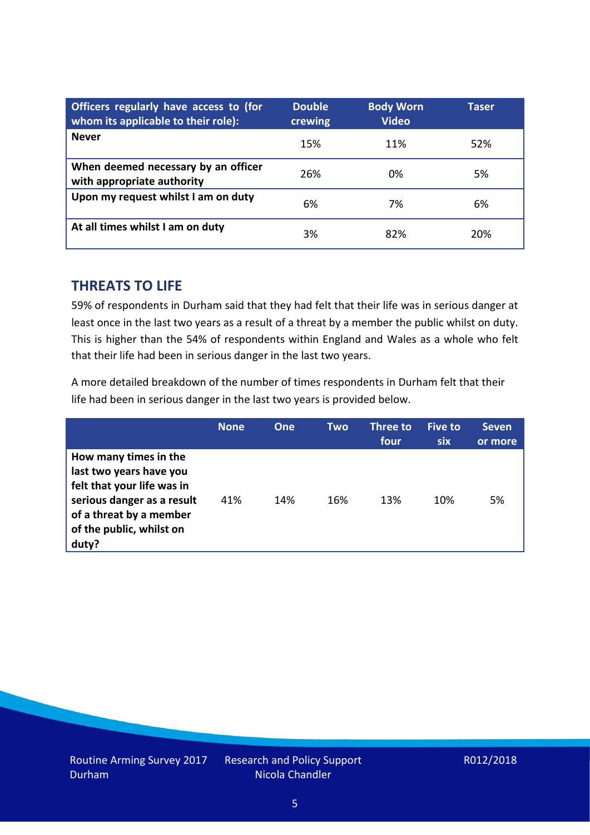| Officers regularly have access to (for<br>whom its applicable to their role): | <b>Double</b><br>crewing | <b>Body Worn</b><br><b>Video</b> | Taser |
|-------------------------------------------------------------------------------|--------------------------|----------------------------------|-------|
| <b>Never</b>                                                                  | 15%                      | 11%                              | 52%   |
| When deemed necessary by an officer<br>with appropriate authority             | 26%                      | 0%                               | 5%    |
| Upon my request whilst I am on duty                                           | 6%                       | 7%                               | 6%    |
| At all times whilst I am on duty                                              | 3%                       | 82%                              | 20%   |

#### **THREATS TO LIFE**

59% of respondents in Durham said that they had felt that their life was in serious danger at least once in the last two years as a result of a threat by a member the public whilst on duty. This is higher than the 54% of respondents within England and Wales as a whole who felt that their life had been in serious danger in the last two years.

A more detailed breakdown of the number of times respondents in Durham felt that their life had been in serious danger in the last two years is provided below.

|                                                                                                                                                                              | <b>None</b> | <b>One</b> | Two | <b>Three to</b><br>four | <b>Five to</b><br><b>six</b> | <b>Seven</b><br>or more |
|------------------------------------------------------------------------------------------------------------------------------------------------------------------------------|-------------|------------|-----|-------------------------|------------------------------|-------------------------|
| How many times in the<br>last two years have you<br>felt that your life was in<br>serious danger as a result<br>of a threat by a member<br>of the public, whilst on<br>duty? | 41%         | 14%        | 16% | 13%                     | 10%                          | 5%                      |

Research and Policy Support Nicola Chandler